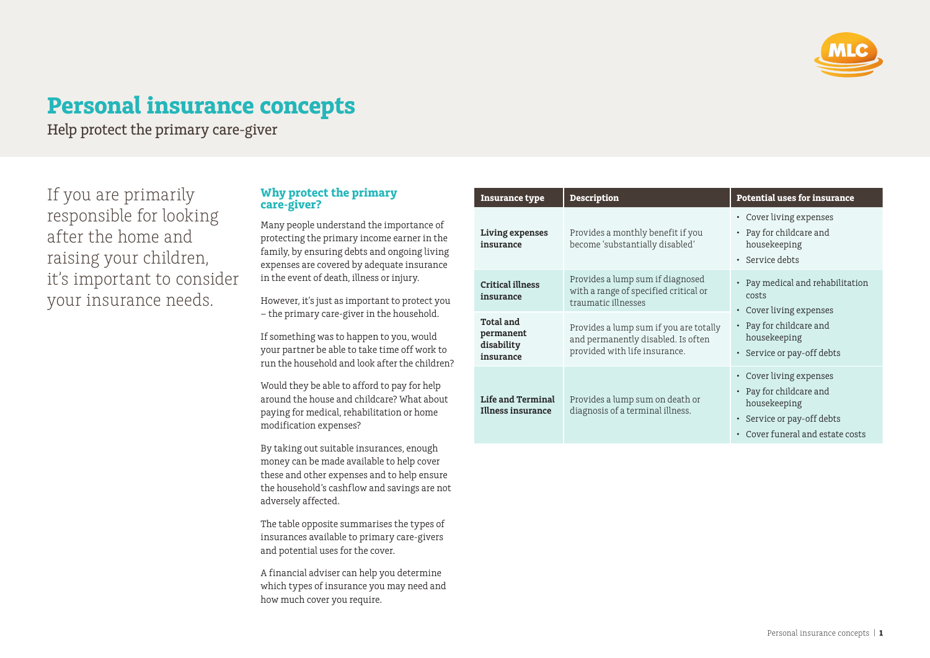

# **Personal insurance concepts**

Help protect the primary care-giver

If you are primarily responsible for looking after the home and raising your children, it's important to consider your insurance needs.

#### **Why protect the primary care-giver?**

Many people understand the importance of protecting the primary income earner in the family, by ensuring debts and ongoing living expenses are covered by adequate insurance in the event of death, illness or injury.

However, it's just as important to protect you – the primary care-giver in the household.

If something was to happen to you, would your partner be able to take time off work to run the household and look after the children?

Would they be able to afford to pay for help around the house and childcare? What about paying for medical, rehabilitation or home modification expenses?

By taking out suitable insurances, enough money can be made available to help cover these and other expenses and to help ensure the household's cashflow and savings are not adversely affected.

The table opposite summarises the types of insurances available to primary care-givers and potential uses for the cover.

A financial adviser can help you determine which types of insurance you may need and how much cover you require.

| <b>Insurance type</b>                                    | <b>Description</b>                                                                                            | <b>Potential uses for insurance</b>                                                                                                  |
|----------------------------------------------------------|---------------------------------------------------------------------------------------------------------------|--------------------------------------------------------------------------------------------------------------------------------------|
| Living expenses<br>insurance                             | Provides a monthly benefit if you<br>become 'substantially disabled'                                          | • Cover living expenses<br>• Pay for childcare and<br>housekeeping<br>• Service debts                                                |
| <b>Critical illness</b><br>insurance                     | Provides a lump sum if diagnosed<br>with a range of specified critical or<br>traumatic illnesses              | • Pay medical and rehabilitation<br>costs<br>• Cover living expenses                                                                 |
| <b>Total and</b><br>permanent<br>disability<br>insurance | Provides a lump sum if you are totally<br>and permanently disabled. Is often<br>provided with life insurance. | • Pay for childcare and<br>housekeeping<br>• Service or pay-off debts                                                                |
| Life and Terminal<br>Illness insurance                   | Provides a lump sum on death or<br>diagnosis of a terminal illness.                                           | • Cover living expenses<br>• Pay for childcare and<br>housekeeping<br>• Service or pay-off debts<br>• Cover funeral and estate costs |